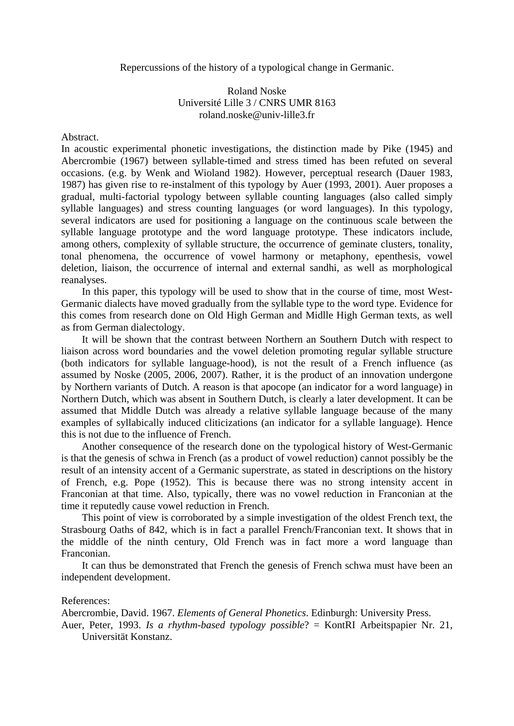## Repercussions of the history of a typological change in Germanic.

## Roland Noske Université Lille 3 / CNRS UMR 8163 roland.noske@univ-lille3.fr

## Abstract.

In acoustic experimental phonetic investigations, the distinction made by Pike (1945) and Abercrombie (1967) between syllable-timed and stress timed has been refuted on several occasions. (e.g. by Wenk and Wioland 1982). However, perceptual research (Dauer 1983, 1987) has given rise to re-instalment of this typology by Auer (1993, 2001). Auer proposes a gradual, multi-factorial typology between syllable counting languages (also called simply syllable languages) and stress counting languages (or word languages). In this typology, several indicators are used for positioning a language on the continuous scale between the syllable language prototype and the word language prototype. These indicators include, among others, complexity of syllable structure, the occurrence of geminate clusters, tonality, tonal phenomena, the occurrence of vowel harmony or metaphony, epenthesis, vowel deletion, liaison, the occurrence of internal and external sandhi, as well as morphological reanalyses.

In this paper, this typology will be used to show that in the course of time, most West-Germanic dialects have moved gradually from the syllable type to the word type. Evidence for this comes from research done on Old High German and Midlle High German texts, as well as from German dialectology.

It will be shown that the contrast between Northern an Southern Dutch with respect to liaison across word boundaries and the vowel deletion promoting regular syllable structure (both indicators for syllable language-hood), is not the result of a French influence (as assumed by Noske (2005, 2006, 2007). Rather, it is the product of an innovation undergone by Northern variants of Dutch. A reason is that apocope (an indicator for a word language) in Northern Dutch, which was absent in Southern Dutch, is clearly a later development. It can be assumed that Middle Dutch was already a relative syllable language because of the many examples of syllabically induced cliticizations (an indicator for a syllable language). Hence this is not due to the influence of French.

Another consequence of the research done on the typological history of West-Germanic is that the genesis of schwa in French (as a product of vowel reduction) cannot possibly be the result of an intensity accent of a Germanic superstrate, as stated in descriptions on the history of French, e.g. Pope (1952). This is because there was no strong intensity accent in Franconian at that time. Also, typically, there was no vowel reduction in Franconian at the time it reputedly cause vowel reduction in French.

This point of view is corroborated by a simple investigation of the oldest French text, the Strasbourg Oaths of 842, which is in fact a parallel French/Franconian text. It shows that in the middle of the ninth century, Old French was in fact more a word language than Franconian.

It can thus be demonstrated that French the genesis of French schwa must have been an independent development.

## References:

Abercrombie, David. 1967. *Elements of General Phonetics*. Edinburgh: University Press.

Auer, Peter, 1993. *Is a rhythm-based typology possible*? = KontRI Arbeitspapier Nr. 21, Universität Konstanz.